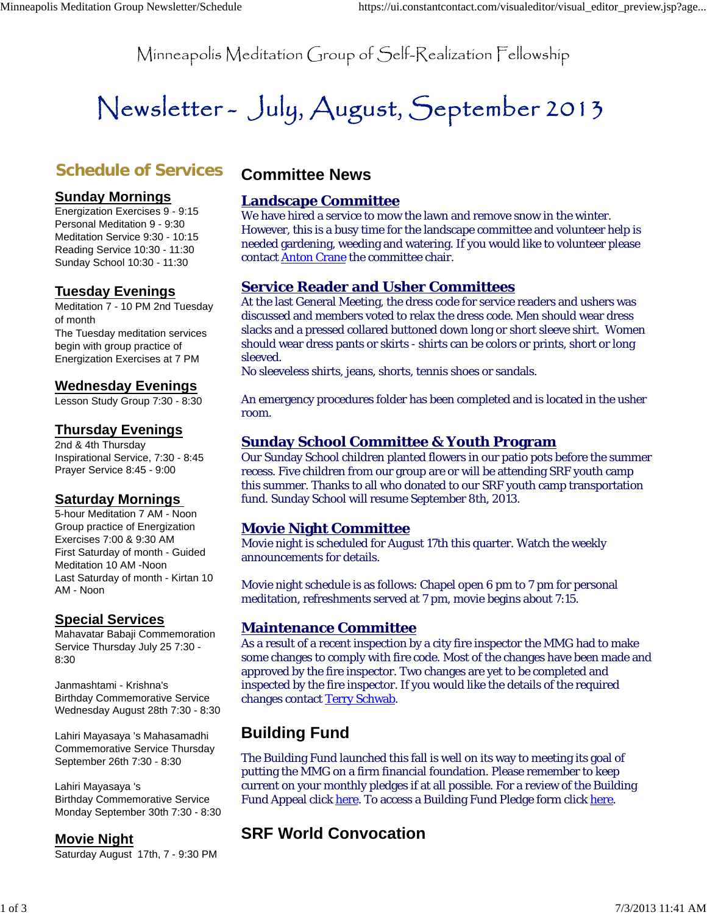Minneapolis Meditation Group of Self-Realization Fellowship

# Newsletter- July, August, September 2013

# **Schedule of Services**

#### **Sunday Mornings**

Energization Exercises 9 - 9:15 Personal Meditation 9 - 9:30 Meditation Service 9:30 - 10:15 Reading Service 10:30 - 11:30 Sunday School 10:30 - 11:30

## **Tuesday Evenings**

Meditation 7 - 10 PM 2nd Tuesday of month The Tuesday meditation services begin with group practice of Energization Exercises at 7 PM

## **Wednesday Evenings**

Lesson Study Group 7:30 - 8:30

## **Thursday Evenings**

2nd & 4th Thursday Inspirational Service, 7:30 - 8:45 Prayer Service 8:45 - 9:00

## **Saturday Mornings**

5-hour Meditation 7 AM - Noon Group practice of Energization Exercises 7:00 & 9:30 AM First Saturday of month - Guided Meditation 10 AM -Noon Last Saturday of month - Kirtan 10 AM - Noon

## **Special Services**

Mahavatar Babaji Commemoration Service Thursday July 25 7:30 - 8:30

Janmashtami - Krishna's Birthday Commemorative Service Wednesday August 28th 7:30 - 8:30

Lahiri Mayasaya 's Mahasamadhi Commemorative Service Thursday September 26th 7:30 - 8:30

Lahiri Mayasaya 's Birthday Commemorative Service Monday September 30th 7:30 - 8:30

## **Movie Night**

Saturday August 17th, 7 - 9:30 PM

# **Committee News**

## **Landscape Committee**

We have hired a service to mow the lawn and remove snow in the winter. However, this is a busy time for the landscape committee and volunteer help is needed gardening, weeding and watering. If you would like to volunteer please contact Anton Crane the committee chair.

## **Service Reader and Usher Committees**

At the last General Meeting, the dress code for service readers and ushers was discussed and members voted to relax the dress code. Men should wear dress slacks and a pressed collared buttoned down long or short sleeve shirt. Women should wear dress pants or skirts - shirts can be colors or prints, short or long sleeved.

No sleeveless shirts, jeans, shorts, tennis shoes or sandals.

An emergency procedures folder has been completed and is located in the usher room.

## **Sunday School Committee & Youth Program**

Our Sunday School children planted flowers in our patio pots before the summer recess. Five children from our group are or will be attending SRF youth camp this summer. Thanks to all who donated to our SRF youth camp transportation fund. Sunday School will resume September 8th, 2013.

## **Movie Night Committee**

Movie night is scheduled for August 17th this quarter. Watch the weekly announcements for details.

Movie night schedule is as follows: Chapel open 6 pm to 7 pm for personal meditation, refreshments served at 7 pm, movie begins about 7:15.

## **Maintenance Committee**

As a result of a recent inspection by a city fire inspector the MMG had to make some changes to comply with fire code. Most of the changes have been made and approved by the fire inspector. Two changes are yet to be completed and inspected by the fire inspector. If you would like the details of the required changes contact Terry Schwab.

# **Building Fund**

The Building Fund launched this fall is well on its way to meeting its goal of putting the MMG on a firm financial foundation. Please remember to keep current on your monthly pledges if at all possible. For a review of the Building Fund Appeal click here. To access a Building Fund Pledge form click here.

# **SRF World Convocation**